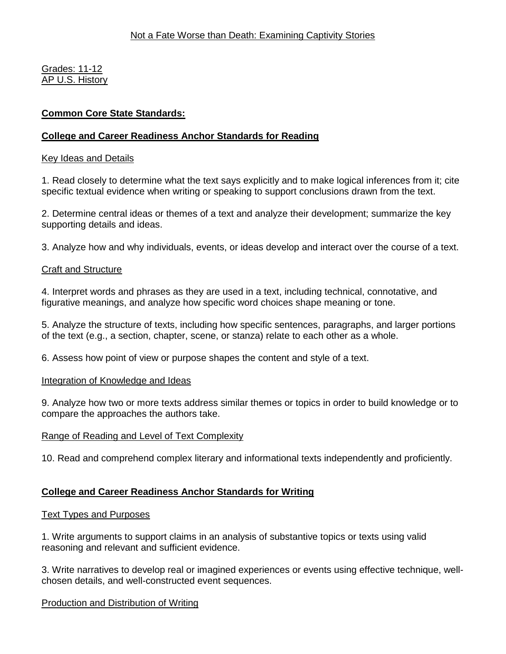Grades: 11-12 AP U.S. History

# **Common Core State Standards:**

# **College and Career Readiness Anchor Standards for Reading**

# Key Ideas and Details

1. Read closely to determine what the text says explicitly and to make logical inferences from it; cite specific textual evidence when writing or speaking to support conclusions drawn from the text.

2. Determine central ideas or themes of a text and analyze their development; summarize the key supporting details and ideas.

3. Analyze how and why individuals, events, or ideas develop and interact over the course of a text.

# Craft and Structure

4. Interpret words and phrases as they are used in a text, including technical, connotative, and figurative meanings, and analyze how specific word choices shape meaning or tone.

5. Analyze the structure of texts, including how specific sentences, paragraphs, and larger portions of the text (e.g., a section, chapter, scene, or stanza) relate to each other as a whole.

6. Assess how point of view or purpose shapes the content and style of a text.

### Integration of Knowledge and Ideas

9. Analyze how two or more texts address similar themes or topics in order to build knowledge or to compare the approaches the authors take.

# Range of Reading and Level of Text Complexity

10. Read and comprehend complex literary and informational texts independently and proficiently.

# **College and Career Readiness Anchor Standards for Writing**

# Text Types and Purposes

1. Write arguments to support claims in an analysis of substantive topics or texts using valid reasoning and relevant and sufficient evidence.

3. Write narratives to develop real or imagined experiences or events using effective technique, wellchosen details, and well-constructed event sequences.

# Production and Distribution of Writing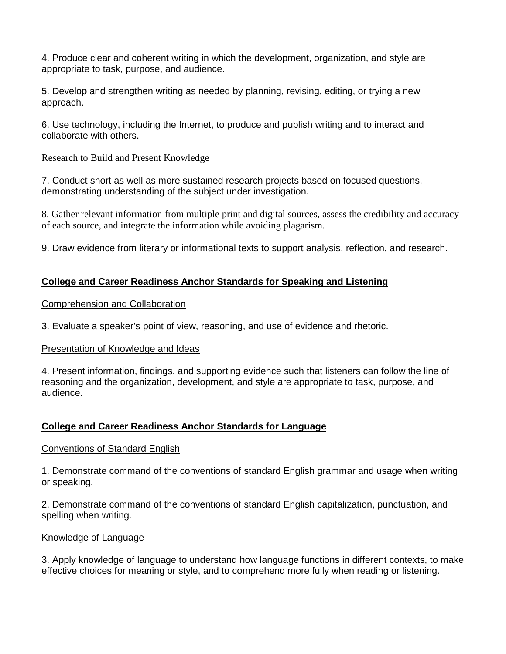4. Produce clear and coherent writing in which the development, organization, and style are appropriate to task, purpose, and audience.

5. Develop and strengthen writing as needed by planning, revising, editing, or trying a new approach.

6. Use technology, including the Internet, to produce and publish writing and to interact and collaborate with others.

Research to Build and Present Knowledge

7. Conduct short as well as more sustained research projects based on focused questions, demonstrating understanding of the subject under investigation.

8. Gather relevant information from multiple print and digital sources, assess the credibility and accuracy of each source, and integrate the information while avoiding plagarism.

9. Draw evidence from literary or informational texts to support analysis, reflection, and research.

# **College and Career Readiness Anchor Standards for Speaking and Listening**

Comprehension and Collaboration

3. Evaluate a speaker's point of view, reasoning, and use of evidence and rhetoric.

# Presentation of Knowledge and Ideas

4. Present information, findings, and supporting evidence such that listeners can follow the line of reasoning and the organization, development, and style are appropriate to task, purpose, and audience.

# **College and Career Readiness Anchor Standards for Language**

# Conventions of Standard English

1. Demonstrate command of the conventions of standard English grammar and usage when writing or speaking.

2. Demonstrate command of the conventions of standard English capitalization, punctuation, and spelling when writing.

# Knowledge of Language

3. Apply knowledge of language to understand how language functions in different contexts, to make effective choices for meaning or style, and to comprehend more fully when reading or listening.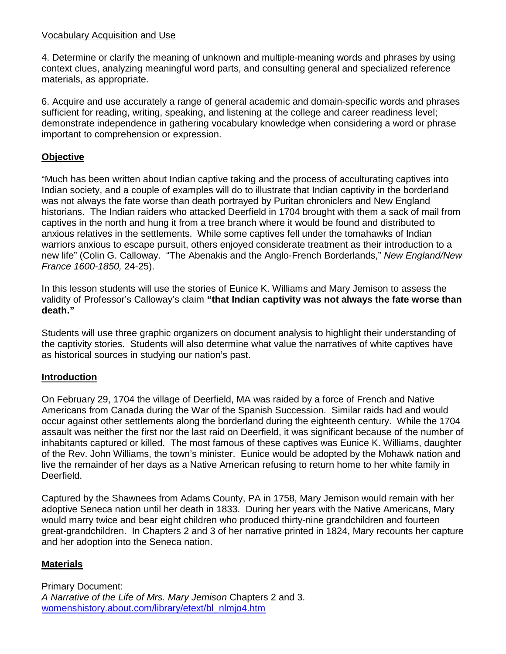# Vocabulary Acquisition and Use

4. Determine or clarify the meaning of unknown and multiple-meaning words and phrases by using context clues, analyzing meaningful word parts, and consulting general and specialized reference materials, as appropriate.

6. Acquire and use accurately a range of general academic and domain-specific words and phrases sufficient for reading, writing, speaking, and listening at the college and career readiness level; demonstrate independence in gathering vocabulary knowledge when considering a word or phrase important to comprehension or expression.

# **Objective**

"Much has been written about Indian captive taking and the process of acculturating captives into Indian society, and a couple of examples will do to illustrate that Indian captivity in the borderland was not always the fate worse than death portrayed by Puritan chroniclers and New England historians. The Indian raiders who attacked Deerfield in 1704 brought with them a sack of mail from captives in the north and hung it from a tree branch where it would be found and distributed to anxious relatives in the settlements. While some captives fell under the tomahawks of Indian warriors anxious to escape pursuit, others enjoyed considerate treatment as their introduction to a new life" (Colin G. Calloway. "The Abenakis and the Anglo-French Borderlands," *New England/New France 1600-1850,* 24-25).

In this lesson students will use the stories of Eunice K. Williams and Mary Jemison to assess the validity of Professor's Calloway's claim **"that Indian captivity was not always the fate worse than death."**

Students will use three graphic organizers on document analysis to highlight their understanding of the captivity stories. Students will also determine what value the narratives of white captives have as historical sources in studying our nation's past.

# **Introduction**

On February 29, 1704 the village of Deerfield, MA was raided by a force of French and Native Americans from Canada during the War of the Spanish Succession. Similar raids had and would occur against other settlements along the borderland during the eighteenth century. While the 1704 assault was neither the first nor the last raid on Deerfield, it was significant because of the number of inhabitants captured or killed. The most famous of these captives was Eunice K. Williams, daughter of the Rev. John Williams, the town's minister. Eunice would be adopted by the Mohawk nation and live the remainder of her days as a Native American refusing to return home to her white family in Deerfield.

Captured by the Shawnees from Adams County, PA in 1758, Mary Jemison would remain with her adoptive Seneca nation until her death in 1833. During her years with the Native Americans, Mary would marry twice and bear eight children who produced thirty-nine grandchildren and fourteen great-grandchildren. In Chapters 2 and 3 of her narrative printed in 1824, Mary recounts her capture and her adoption into the Seneca nation.

# **Materials**

Primary Document: *A Narrative of the Life of Mrs. Mary Jemison* Chapters 2 and 3. womenshistory.about.com/library/etext/bl\_nlmjo4.htm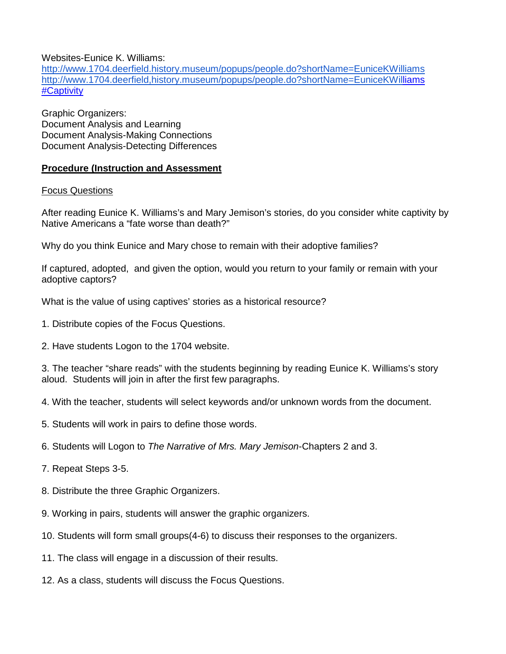Websites-Eunice K. Williams:

<http://www.1704.deerfield.history.museum/popups/people.do?shortName=EuniceKWilliams> [http://www.1704.deerfield,history.museum/popups/people.do?shortName=EuniceKWilliam](about:blank)s #Captivity

Graphic Organizers: Document Analysis and Learning Document Analysis-Making Connections Document Analysis-Detecting Differences

# **Procedure (Instruction and Assessment**

### Focus Questions

After reading Eunice K. Williams's and Mary Jemison's stories, do you consider white captivity by Native Americans a "fate worse than death?"

Why do you think Eunice and Mary chose to remain with their adoptive families?

If captured, adopted, and given the option, would you return to your family or remain with your adoptive captors?

What is the value of using captives' stories as a historical resource?

- 1. Distribute copies of the Focus Questions.
- 2. Have students Logon to the 1704 website.

3. The teacher "share reads" with the students beginning by reading Eunice K. Williams's story aloud. Students will join in after the first few paragraphs.

4. With the teacher, students will select keywords and/or unknown words from the document.

- 5. Students will work in pairs to define those words.
- 6. Students will Logon to *The Narrative of Mrs. Mary Jemison*-Chapters 2 and 3.
- 7. Repeat Steps 3-5.
- 8. Distribute the three Graphic Organizers.
- 9. Working in pairs, students will answer the graphic organizers.
- 10. Students will form small groups(4-6) to discuss their responses to the organizers.
- 11. The class will engage in a discussion of their results.
- 12. As a class, students will discuss the Focus Questions.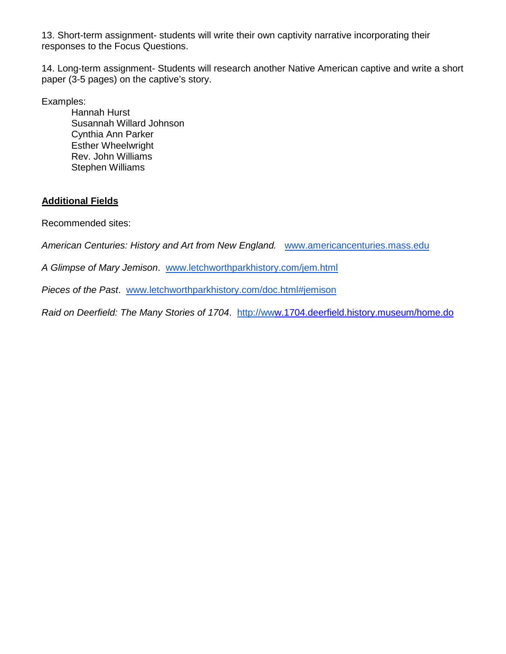13. Short-term assignment- students will write their own captivity narrative incorporating their responses to the Focus Questions.

14. Long-term assignment- Students will research another Native American captive and write a short paper (3-5 pages) on the captive's story.

Examples:

Hannah Hurst Susannah Willard Johnson Cynthia Ann Parker Esther Wheelwright Rev. John Williams Stephen Williams

# **Additional Fields**

Recommended sites:

*American Centuries: History and Art from New England.* [www.americancenturies.mass.edu](http://www.americancenturies.mass.edu/)

*A Glimpse of Mary Jemison*. [www.letchworthparkhistory.com/jem.html](http://www.letchworthparkhistory.com/jem.html)

*Pieces of the Past*. [www.letchworthparkhistory.com/doc.html#jemison](http://www.letchworthparkhistory.com/doc.html#jemison)

*Raid on Deerfield: The Many Stories of 1704.* [http://www.](http://www/)1704.deerfield.history.museum/home.do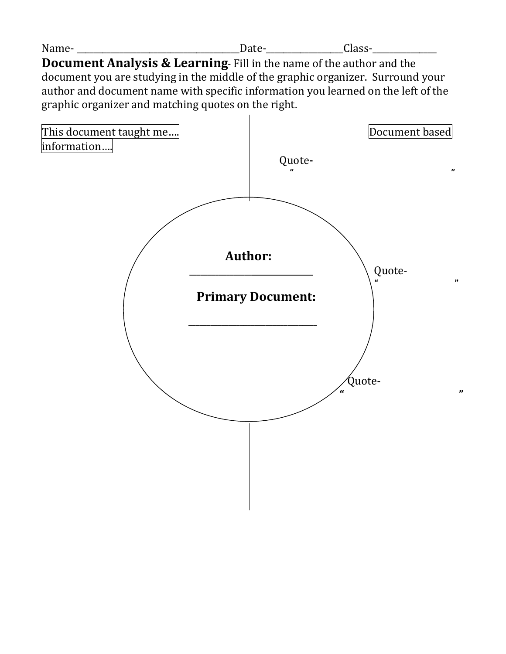| N<br>. | - |  |
|--------|---|--|
|        |   |  |

**Document Analysis & Learning**- Fill in the name of the author and the document you are studying in the middle of the graphic organizer. Surround your author and document name with specific information you learned on the left of the graphic organizer and matching quotes on the right.